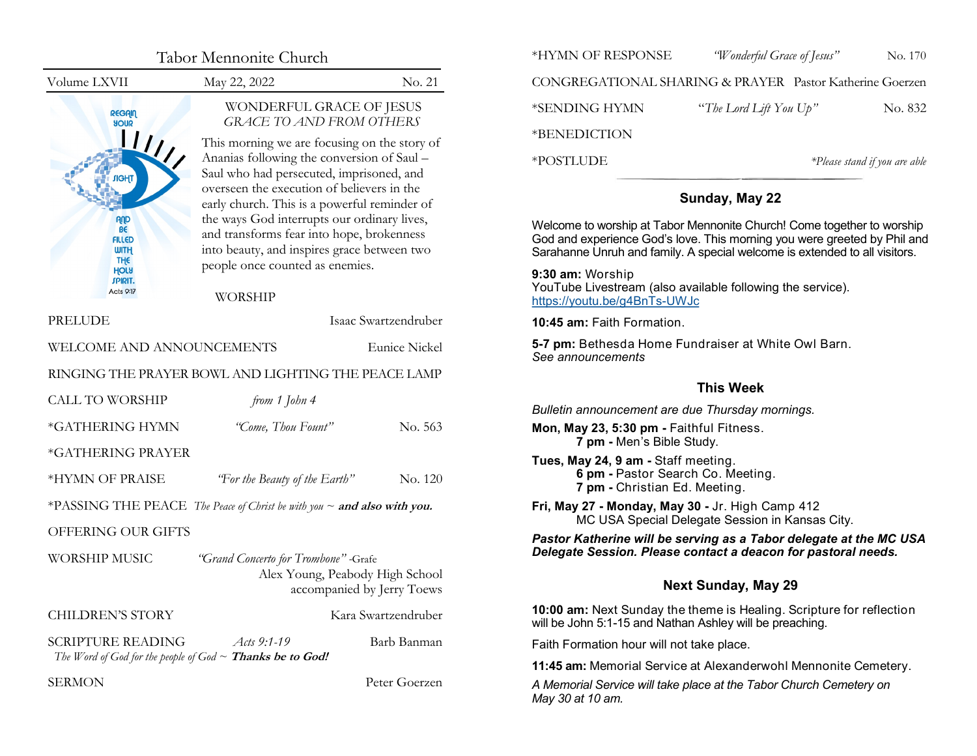<span id="page-0-0"></span>

|                                                                         | Tabor Mennonite Church                                                                                                                                                                                                                                                                                                                                                                                                                                                                        |                                                                                        | *HYMN OF RESPONSE<br>"Wonderful Grace of Jesus"<br>No. 170<br>CONGREGATIONAL SHARING & PRAYER Pastor Katherine Goerzen                                                                                                                             |                                                                                                                                  |                               |  |
|-------------------------------------------------------------------------|-----------------------------------------------------------------------------------------------------------------------------------------------------------------------------------------------------------------------------------------------------------------------------------------------------------------------------------------------------------------------------------------------------------------------------------------------------------------------------------------------|----------------------------------------------------------------------------------------|----------------------------------------------------------------------------------------------------------------------------------------------------------------------------------------------------------------------------------------------------|----------------------------------------------------------------------------------------------------------------------------------|-------------------------------|--|
| Volume LXVII                                                            | May 22, 2022                                                                                                                                                                                                                                                                                                                                                                                                                                                                                  | No. 21                                                                                 |                                                                                                                                                                                                                                                    |                                                                                                                                  |                               |  |
| <b>REGAIN</b><br><b>SUOR</b>                                            | WONDERFUL GRACE OF JESUS<br><b>GRACE TO AND FROM OTHERS</b><br>This morning we are focusing on the story of                                                                                                                                                                                                                                                                                                                                                                                   |                                                                                        | *SENDING HYMN<br>*BENEDICTION                                                                                                                                                                                                                      | "The Lord Lift You Up"                                                                                                           | No. 832                       |  |
|                                                                         | Ananias following the conversion of Saul -<br>Saul who had persecuted, imprisoned, and<br>overseen the execution of believers in the<br>early church. This is a powerful reminder of<br>the ways God interrupts our ordinary lives,<br>AUD<br>B€<br>and transforms fear into hope, brokenness<br><b>FILLED</b><br>into beauty, and inspires grace between two<br><b>WITH</b><br><b>THE</b><br>people once counted as enemies.<br>HOLA<br><b>SPIRIT.</b><br><b>Acts 9:17</b><br><b>WORSHIP</b> |                                                                                        | *POSTLUDE                                                                                                                                                                                                                                          |                                                                                                                                  | *Please stand if you are able |  |
|                                                                         |                                                                                                                                                                                                                                                                                                                                                                                                                                                                                               |                                                                                        | Sunday, May 22<br>Welcome to worship at Tabor Mennonite Church! Come together to worship<br>God and experience God's love. This morning you were greeted by Phil and<br>Sarahanne Unruh and family. A special welcome is extended to all visitors. |                                                                                                                                  |                               |  |
|                                                                         |                                                                                                                                                                                                                                                                                                                                                                                                                                                                                               |                                                                                        |                                                                                                                                                                                                                                                    |                                                                                                                                  |                               |  |
|                                                                         |                                                                                                                                                                                                                                                                                                                                                                                                                                                                                               |                                                                                        | 9:30 am: Worship<br>YouTube Livestream (also available following the service).<br>https://youtu.be/g4BnTs-UWJc                                                                                                                                     |                                                                                                                                  |                               |  |
| PRELUDE                                                                 |                                                                                                                                                                                                                                                                                                                                                                                                                                                                                               | Isaac Swartzendruber                                                                   | 10:45 am: Faith Formation.                                                                                                                                                                                                                         |                                                                                                                                  |                               |  |
| Eunice Nickel<br>WELCOME AND ANNOUNCEMENTS                              |                                                                                                                                                                                                                                                                                                                                                                                                                                                                                               |                                                                                        | 5-7 pm: Bethesda Home Fundraiser at White Owl Barn.<br>See announcements                                                                                                                                                                           |                                                                                                                                  |                               |  |
|                                                                         | RINGING THE PRAYER BOWL AND LIGHTING THE PEACE LAMP                                                                                                                                                                                                                                                                                                                                                                                                                                           |                                                                                        |                                                                                                                                                                                                                                                    | <b>This Week</b>                                                                                                                 |                               |  |
| <b>CALL TO WORSHIP</b>                                                  | from 1 John 4                                                                                                                                                                                                                                                                                                                                                                                                                                                                                 |                                                                                        | Bulletin announcement are due Thursday mornings.                                                                                                                                                                                                   |                                                                                                                                  |                               |  |
| *GATHERING HYMN                                                         | "Come, Thou Fount"                                                                                                                                                                                                                                                                                                                                                                                                                                                                            | No. 563                                                                                | Mon, May 23, 5:30 pm - Faithful Fitness.                                                                                                                                                                                                           |                                                                                                                                  |                               |  |
|                                                                         |                                                                                                                                                                                                                                                                                                                                                                                                                                                                                               |                                                                                        | 7 pm - Men's Bible Study.                                                                                                                                                                                                                          |                                                                                                                                  |                               |  |
| *GATHERING PRAYER<br>*HYMN OF PRAISE                                    | "For the Beauty of the Earth"                                                                                                                                                                                                                                                                                                                                                                                                                                                                 | No. 120                                                                                | Tues, May 24, 9 am - Staff meeting.<br>7 pm - Christian Ed. Meeting.                                                                                                                                                                               | 6 pm - Pastor Search Co. Meeting.                                                                                                |                               |  |
| *PASSING THE PEACE The Peace of Christ be with you ~ and also with you. |                                                                                                                                                                                                                                                                                                                                                                                                                                                                                               |                                                                                        | Fri, May 27 - Monday, May 30 - Jr. High Camp 412<br>MC USA Special Delegate Session in Kansas City.                                                                                                                                                |                                                                                                                                  |                               |  |
| OFFERING OUR GIFTS                                                      |                                                                                                                                                                                                                                                                                                                                                                                                                                                                                               |                                                                                        |                                                                                                                                                                                                                                                    | Pastor Katherine will be serving as a Tabor delegate at the MC USA                                                               |                               |  |
| <b>WORSHIP MUSIC</b>                                                    | "Grand Concerto for Trombone" - Grafe<br>Alex Young, Peabody High School                                                                                                                                                                                                                                                                                                                                                                                                                      |                                                                                        | Delegate Session. Please contact a deacon for pastoral needs.                                                                                                                                                                                      |                                                                                                                                  |                               |  |
| accompanied by Jerry Toews                                              |                                                                                                                                                                                                                                                                                                                                                                                                                                                                                               |                                                                                        | <b>Next Sunday, May 29</b>                                                                                                                                                                                                                         |                                                                                                                                  |                               |  |
| <b>CHILDREN'S STORY</b>                                                 | Kara Swartzendruber                                                                                                                                                                                                                                                                                                                                                                                                                                                                           |                                                                                        |                                                                                                                                                                                                                                                    | 10:00 am: Next Sunday the theme is Healing. Scripture for reflection<br>will be John 5:1-15 and Nathan Ashley will be preaching. |                               |  |
| <b>SCRIPTURE READING</b>                                                | Acts 9:1-19                                                                                                                                                                                                                                                                                                                                                                                                                                                                                   | Barb Banman                                                                            | Faith Formation hour will not take place.                                                                                                                                                                                                          |                                                                                                                                  |                               |  |
| The Word of God for the people of God $\sim$ Thanks be to God!          |                                                                                                                                                                                                                                                                                                                                                                                                                                                                                               |                                                                                        | 11:45 am: Memorial Service at Alexanderwohl Mennonite Cemetery.                                                                                                                                                                                    |                                                                                                                                  |                               |  |
| <b>SERMON</b><br>Peter Goerzen                                          |                                                                                                                                                                                                                                                                                                                                                                                                                                                                                               | A Memorial Service will take place at the Tabor Church Cemetery on<br>May 30 at 10 am. |                                                                                                                                                                                                                                                    |                                                                                                                                  |                               |  |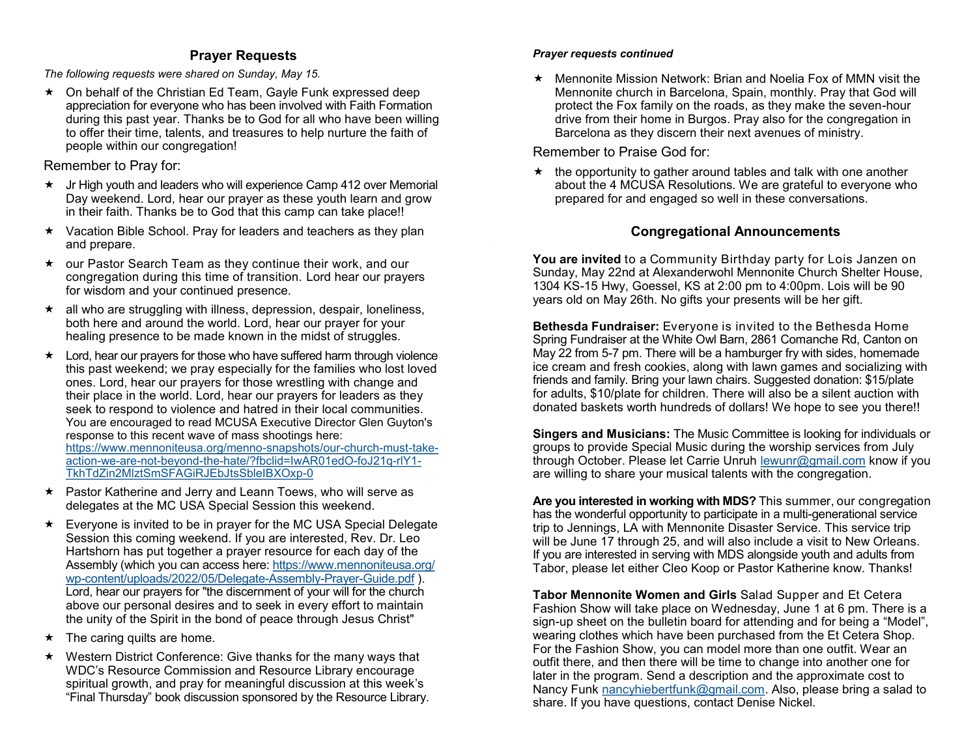# **Prayer Requests**

<span id="page-1-0"></span>*The following requests were shared on Sunday, May 15.*

★ On behalf of the Christian Ed Team, Gayle Funk expressed deep appreciation for everyone who has been involved with Faith Formation during this past year. Thanks be to God for all who have been willing to offer their time, talents, and treasures to help nurture the faith of people within our congregation!

Remember to Pray for:

- Jr High youth and leaders who will experience Camp 412 over Memorial Day weekend. Lord, hear our prayer as these youth learn and grow in their faith. Thanks be to God that this camp can take place!!
- $\star$  Vacation Bible School. Pray for leaders and teachers as they plan and prepare.
- our Pastor Search Team as they continue their work, and our congregation during this time of transition. Lord hear our prayers for wisdom and your continued presence.
- $\star$  all who are struggling with illness, depression, despair, loneliness, both here and around the world. Lord, hear our prayer for your healing presence to be made known in the midst of struggles.
- \* Lord, hear our prayers for those who have suffered harm through violence this past weekend; we pray especially for the families who lost loved ones. Lord, hear our prayers for those wrestling with change and their place in the world. Lord, hear our prayers for leaders as they seek to respond to violence and hatred in their local communities. You are encouraged to read MCUSA Executive Director Glen Guyton's response to this recent wave of mass shootings here: [https://www.mennoniteusa.org/menno](https://www.mennoniteusa.org/menno-snapshots/our-church-must-take-action-we-are-not-beyond-the-hate/?fbclid=IwAR01edO-foJ21q-rlY1-TkhTdZin2MlztSmSFAGiRJEbJtsSbleIBXOxp-0)-snapshots/our-church-must-takeaction-we-are-not-beyond-the-[hate/?fbclid=IwAR01edO](https://www.mennoniteusa.org/menno-snapshots/our-church-must-take-action-we-are-not-beyond-the-hate/?fbclid=IwAR01edO-foJ21q-rlY1-TkhTdZin2MlztSmSFAGiRJEbJtsSbleIBXOxp-0)-foJ21q-rlY1- [TkhTdZin2MlztSmSFAGiRJEbJtsSbleIBXOxp](https://www.mennoniteusa.org/menno-snapshots/our-church-must-take-action-we-are-not-beyond-the-hate/?fbclid=IwAR01edO-foJ21q-rlY1-TkhTdZin2MlztSmSFAGiRJEbJtsSbleIBXOxp-0)-0
- ★ Pastor Katherine and Jerry and Leann Toews, who will serve as delegates at the MC USA Special Session this weekend.
- $\star$  Everyone is invited to be in prayer for the MC USA Special Delegate Session this coming weekend. If you are interested, Rev. Dr. Leo Hartshorn has put together a prayer resource for each day of the Assembly (which you can access here: [https://www.mennoniteusa.org/](#page-0-0) wp-[content/uploads/2022/05/Delegate](#page-0-0)-Assembly-Prayer-Guide.pdf ). Lord, hear our prayers for "the discernment of your will for the church above our personal desires and to seek in every effort to maintain the unity of the Spirit in the bond of peace through Jesus Christ"
- $\star$  The caring quilts are home.
- $\star$  Western District Conference: Give thanks for the many ways that WDC's Resource Commission and Resource Library encourage spiritual growth, and pray for meaningful discussion at this week's "Final Thursday" book discussion sponsored by the Resource Library.

## *Prayer requests continued*

 $\star$  Mennonite Mission Network: Brian and Noelia Fox of MMN visit the Mennonite church in Barcelona, Spain, monthly. Pray that God will protect the Fox family on the roads, as they make the seven-hour drive from their home in Burgos. Pray also for the congregation in Barcelona as they discern their next avenues of ministry.

Remember to Praise God for:

 $\star$  the opportunity to gather around tables and talk with one another about the 4 MCUSA Resolutions. We are grateful to everyone who prepared for and engaged so well in these conversations.

# **Congregational Announcements**

**You are invited** to a Community Birthday party for Lois Janzen on Sunday, May 22nd at Alexanderwohl Mennonite Church Shelter House, 1304 KS-15 Hwy, Goessel, KS at 2:00 pm to 4:00pm. Lois will be 90 years old on May 26th. No gifts your presents will be her gift.

**Bethesda Fundraiser:** Everyone is invited to the Bethesda Home Spring Fundraiser at the White Owl Barn, 2861 Comanche Rd, Canton on May 22 from 5-7 pm. There will be a hamburger fry with sides, homemade ice cream and fresh cookies, along with lawn games and socializing with friends and family. Bring your lawn chairs. Suggested donation: \$15/plate for adults, \$10/plate for children. There will also be a silent auction with donated baskets worth hundreds of dollars! We hope to see you there!!

**Singers and Musicians:** The Music Committee is looking for individuals or groups to provide Special Music during the worship services from July through October. Please let Carrie Unruh [lewunr@gmail.com](#page-1-0) know if you are willing to share your musical talents with the congregation.

**Are you interested in working with MDS?** This summer, our congregation has the wonderful opportunity to participate in a multi-generational service trip to Jennings, LA with Mennonite Disaster Service. This service trip will be June 17 through 25, and will also include a visit to New Orleans. If you are interested in serving with MDS alongside youth and adults from Tabor, please let either Cleo Koop or Pastor Katherine know. Thanks!

**Tabor Mennonite Women and Girls** Salad Supper and Et Cetera Fashion Show will take place on Wednesday, June 1 at 6 pm. There is a sign-up sheet on the bulletin board for attending and for being a "Model", wearing clothes which have been purchased from the Et Cetera Shop. For the Fashion Show, you can model more than one outfit. Wear an outfit there, and then there will be time to change into another one for later in the program. Send a description and the approximate cost to Nancy Funk [nancyhiebertfunk@gmail.com.](#page-1-0) Also, please bring a salad to share. If you have questions, contact Denise Nickel.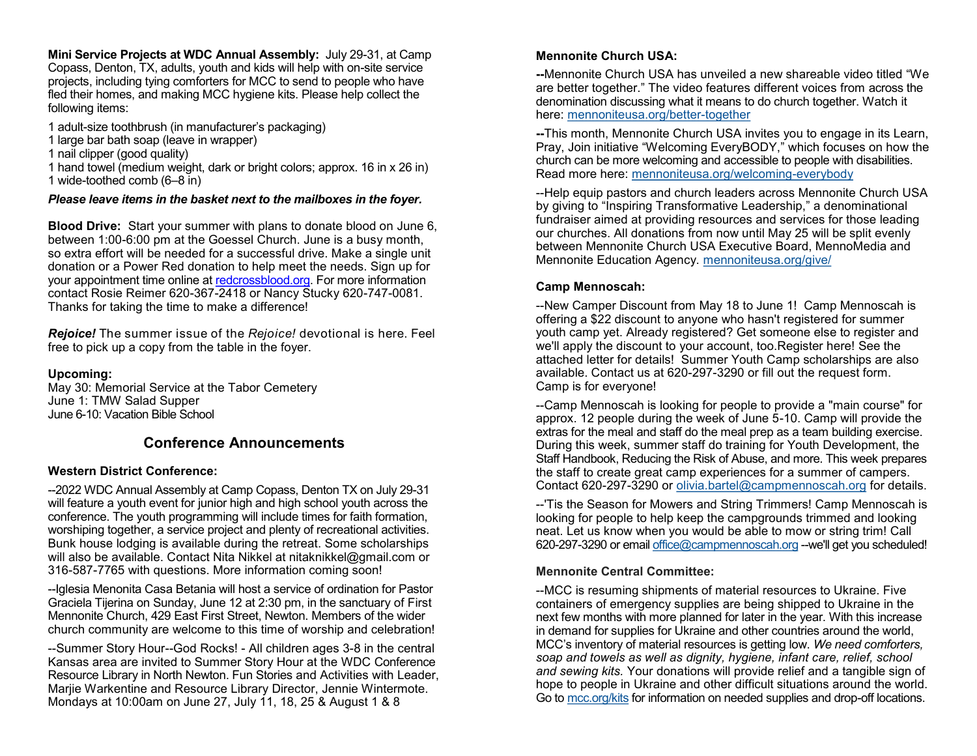<span id="page-2-0"></span>**Mini Service Projects at WDC Annual Assembly:** July 29-31, at Camp Copass, Denton, TX, adults, youth and kids will help with on-site service projects, including tying comforters for MCC to send to people who have fled their homes, and making MCC hygiene kits. Please help collect the following items:

- 1 adult-size toothbrush (in manufacturer's packaging)
- 1 large bar bath soap (leave in wrapper)
- 1 nail clipper (good quality)

1 hand towel (medium weight, dark or bright colors; approx. 16 in x 26 in) 1 wide-toothed comb (6–8 in)

### *Please leave items in the basket next to the mailboxes in the foyer.*

**Blood Drive:** Start your summer with plans to donate blood on June 6, between 1:00-6:00 pm at the Goessel Church. June is a busy month, so extra effort will be needed for a successful drive. Make a single unit donation or a Power Red donation to help meet the needs. Sign up for your appointment time online at [redcrossblood.org.](http://redcrossblood.org/) For more information contact Rosie Reimer 620-367-2418 or Nancy Stucky 620-747-0081. Thanks for taking the time to make a difference!

*Rejoice!* The summer issue of the *Rejoice!* devotional is here. Feel free to pick up a copy from the table in the foyer.

#### **Upcoming:**

May 30: Memorial Service at the Tabor Cemetery June 1: TMW Salad Supper June 6-10: Vacation Bible School

# **Conference Announcements**

### **Western District Conference:**

--2022 WDC Annual Assembly at Camp Copass, Denton TX on July 29-31 will feature a youth event for junior high and high school youth across the conference. The youth programming will include times for faith formation, worshiping together, a service project and plenty of recreational activities. Bunk house lodging is available during the retreat. Some scholarships will also be available. Contact Nita Nikkel at nitaknikkel@gmail.com or 316-587-7765 with questions. More information coming soon!

--Iglesia Menonita Casa Betania will host a service of ordination for Pastor Graciela Tijerina on Sunday, June 12 at 2:30 pm, in the sanctuary of First Mennonite Church, 429 East First Street, Newton. Members of the wider church community are welcome to this time of worship and celebration!

--Summer Story Hour--God Rocks! - All children ages 3-8 in the central Kansas area are invited to Summer Story Hour at the WDC Conference Resource Library in North Newton. Fun Stories and Activities with Leader, Marjie Warkentine and Resource Library Director, Jennie Wintermote. Mondays at 10:00am on June 27, July 11, 18, 25 & August 1 & 8

## **Mennonite Church USA:**

**--**Mennonite Church USA has unveiled a new shareable video titled "We are better together." The video features different voices from across the denomination discussing what it means to do church together. Watch it here: [mennoniteusa.org/better](https://mennoniteusa.us1.list-manage.com/track/click?u=97f16d9c230780d6354d01572&id=dd1cad5681&e=b54bf101f8)-together

**--**This month, Mennonite Church USA invites you to engage in its Learn, Pray, Join initiative "Welcoming EveryBODY," which focuses on how the church can be more welcoming and accessible to people with disabilities. Read more here: [mennoniteusa.org/welcoming](#page-1-0)-everybody

--Help equip pastors and church leaders across Mennonite Church USA by giving to "Inspiring Transformative Leadership," a denominational fundraiser aimed at providing resources and services for those leading our churches. All donations from now until May 25 will be split evenly between Mennonite Church USA Executive Board, MennoMedia and Mennonite Education Agency. [mennoniteusa.org/give/](#page-1-0)

## **Camp Mennoscah:**

--New Camper Discount from May 18 to June 1! Camp Mennoscah is offering a \$22 discount to anyone who hasn't registered for summer youth camp yet. Already registered? Get someone else to register and we'll apply the discount to your account, too.Register here! See the attached letter for details! Summer Youth Camp scholarships are also available. Contact us at 620-297-3290 or fill out the request form. Camp is for everyone!

--Camp Mennoscah is looking for people to provide a "main course" for approx. 12 people during the week of June 5-10. Camp will provide the extras for the meal and staff do the meal prep as a team building exercise. During this week, summer staff do training for Youth Development, the Staff Handbook, Reducing the Risk of Abuse, and more. This week prepares the staff to create great camp experiences for a summer of campers. Contact 620-297-3290 or [olivia.bartel@campmennoscah.org](#page-2-0) for details.

--'Tis the Season for Mowers and String Trimmers! Camp Mennoscah is looking for people to help keep the campgrounds trimmed and looking neat. Let us know when you would be able to mow or string trim! Call 620-297-3290 or email [office@campmennoscah.org](#page-2-0) --we'll get you scheduled!

### **Mennonite Central Committee:**

--MCC is resuming shipments of material resources to Ukraine. Five containers of emergency supplies are being shipped to Ukraine in the next few months with more planned for later in the year. With this increase in demand for supplies for Ukraine and other countries around the world, MCC's inventory of material resources is getting low. *We need comforters, soap and towels as well as dignity, hygiene, infant care, relief, school and sewing kits.* Your donations will provide relief and a tangible sign of hope to people in Ukraine and other difficult situations around the world. Go to [mcc.org/kits](https://mcc.org/get-involved/kits) for information on needed supplies and drop-off locations.